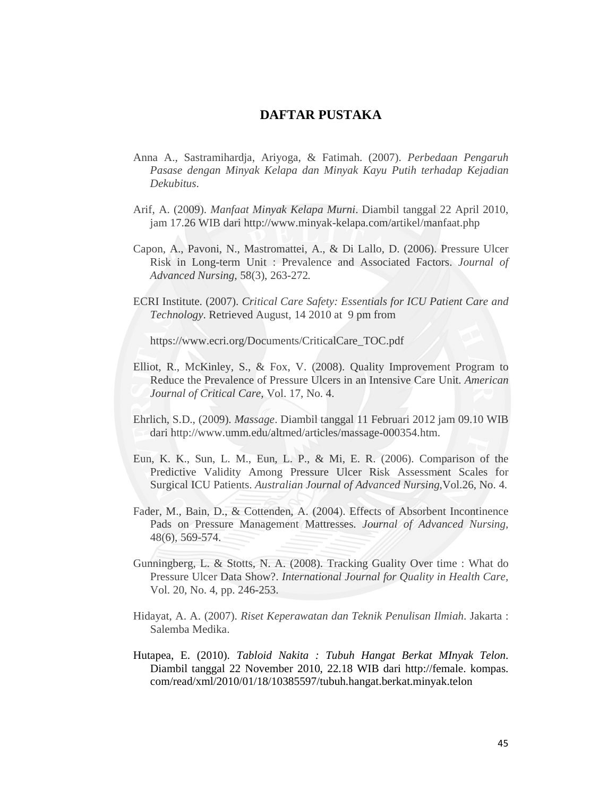## **DAFTAR PUSTAKA**

- Anna A., Sastramihardja, Ariyoga, & Fatimah. (2007). *Perbedaan Pengaruh Pasase dengan Minyak Kelapa dan Minyak Kayu Putih terhadap Kejadian Dekubitus*.
- Arif, A. (2009). *Manfaat Minyak Kelapa Murni*. Diambil tanggal 22 April 2010, jam 17.26 WIB dari http://www.minyak-kelapa.com/artikel/manfaat.php
- Capon, A., Pavoni, N., Mastromattei, A., & Di Lallo, D. (2006). Pressure Ulcer Risk in Long-term Unit : Prevalence and Associated Factors. *Journal of Advanced Nursing,* 58(3), 263-272*.*
- ECRI Institute. (2007). *Critical Care Safety: Essentials for ICU Patient Care and Technology*. Retrieved August, 14 2010 at 9 pm from

https://www.ecri.org/Documents/CriticalCare\_TOC.pdf

- Elliot, R., McKinley, S., & Fox, V. (2008). Quality Improvement Program to Reduce the Prevalence of Pressure Ulcers in an Intensive Care Unit. *American Journal of Critical Care,* Vol. 17, No. 4.
- Ehrlich, S.D., (2009). *Massage*. Diambil tanggal 11 Februari 2012 jam 09.10 WIB dari http://www.umm.edu/altmed/articles/massage-000354.htm.
- Eun, K. K., Sun, L. M., Eun, L. P., & Mi, E. R. (2006). Comparison of the Predictive Validity Among Pressure Ulcer Risk Assessment Scales for Surgical ICU Patients. *Australian Journal of Advanced Nursing,*Vol.26, No. 4.
- Fader, M., Bain, D., & Cottenden, A. (2004). Effects of Absorbent Incontinence Pads on Pressure Management Mattresses. *Journal of Advanced Nursing,*  48(6), 569-574.
- Gunningberg, L. & Stotts, N. A. (2008). Tracking Guality Over time : What do Pressure Ulcer Data Show?. *International Journal for Quality in Health Care,*  Vol. 20, No. 4, pp. 246-253.
- Hidayat, A. A. (2007). *Riset Keperawatan dan Teknik Penulisan Ilmiah*. Jakarta : Salemba Medika.
- Hutapea, E. (2010). *Tabloid Nakita : Tubuh Hangat Berkat MInyak Telon*. Diambil tanggal 22 November 2010, 22.18 WIB dari http://female. kompas. com/read/xml/2010/01/18/10385597/tubuh.hangat.berkat.minyak.telon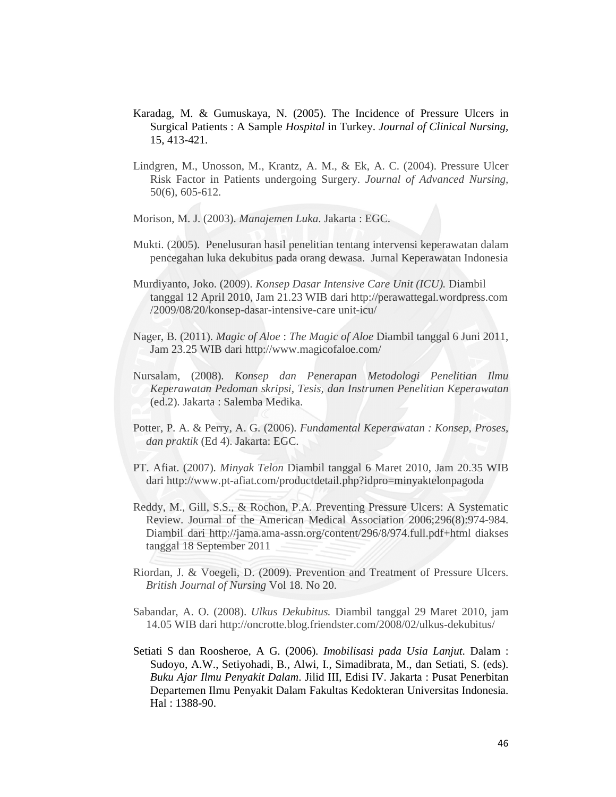- Karadag, M. & Gumuskaya, N. (2005). The Incidence of Pressure Ulcers in Surgical Patients : A Sample *Hospital* in Turkey. *Journal of Clinical Nursing,*  15, 413-421.
- Lindgren, M., Unosson, M., Krantz, A. M., & Ek, A. C. (2004). Pressure Ulcer Risk Factor in Patients undergoing Surgery. *Journal of Advanced Nursing,*  50(6), 605-612.
- Morison, M. J. (2003). *Manajemen Luka*. Jakarta : EGC.
- Mukti. (2005). Penelusuran hasil penelitian tentang intervensi keperawatan dalam pencegahan luka dekubitus pada orang dewasa. Jurnal Keperawatan Indonesia
- Murdiyanto, Joko. (2009). *Konsep Dasar Intensive Care Unit (ICU).* Diambil tanggal 12 April 2010, Jam 21.23 WIB dari http://perawattegal.wordpress.com /2009/08/20/konsep-dasar-intensive-care unit-icu/
- Nager, B. (2011). *Magic of Aloe* : *The Magic of Aloe* Diambil tanggal 6 Juni 2011, Jam 23.25 WIB dari http://www.magicofaloe.com/
- Nursalam, (2008). *Konsep dan Penerapan Metodologi Penelitian Ilmu Keperawatan Pedoman skripsi, Tesis, dan Instrumen Penelitian Keperawatan* (ed.2). Jakarta : Salemba Medika.
- Potter, P. A. & Perry, A. G. (2006). *Fundamental Keperawatan : Konsep, Proses, dan praktik* (Ed 4). Jakarta: EGC.
- PT. Afiat. (2007). *Minyak Telon* Diambil tanggal 6 Maret 2010, Jam 20.35 WIB dari http://www.pt-afiat.com/productdetail.php?idpro=minyaktelonpagoda
- Reddy, M., Gill, S.S., & Rochon, P.A. Preventing Pressure Ulcers: A Systematic Review. Journal of the American Medical Association 2006;296(8):974-984. Diambil dari http://jama.ama-assn.org/content/296/8/974.full.pdf+html diakses tanggal 18 September 2011
- Riordan, J. & Voegeli, D. (2009). Prevention and Treatment of Pressure Ulcers. *British Journal of Nursing* Vol 18. No 20.
- Sabandar, A. O. (2008). *Ulkus Dekubitus.* Diambil tanggal 29 Maret 2010, jam 14.05 WIB dari http://oncrotte.blog.friendster.com/2008/02/ulkus-dekubitus/
- Setiati S dan Roosheroe, A G. (2006). *Imobilisasi pada Usia Lanjut*. Dalam : Sudoyo, A.W., Setiyohadi, B., Alwi, I., Simadibrata, M., dan Setiati, S. (eds). *Buku Ajar Ilmu Penyakit Dalam*. Jilid III, Edisi IV. Jakarta : Pusat Penerbitan Departemen Ilmu Penyakit Dalam Fakultas Kedokteran Universitas Indonesia. Hal : 1388-90.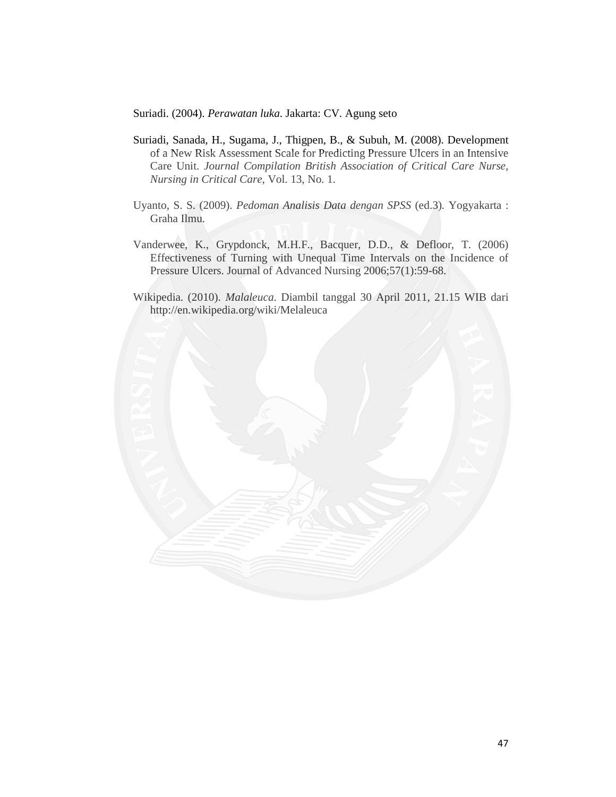Suriadi. (2004). *Perawatan luka*. Jakarta: CV. Agung seto

- Suriadi, Sanada, H., Sugama, J., Thigpen, B., & Subuh, M. (2008). Development of a New Risk Assessment Scale for Predicting Pressure Ulcers in an Intensive Care Unit. *Journal Compilation British Association of Critical Care Nurse, Nursing in Critical Care,* Vol. 13, No. 1.
- Uyanto, S. S. (2009). *Pedoman Analisis Data dengan SPSS* (ed.3)*.* Yogyakarta : Graha Ilmu.
- Vanderwee, K., Grypdonck, M.H.F., Bacquer, D.D., & Defloor, T. (2006) Effectiveness of Turning with Unequal Time Intervals on the Incidence of Pressure Ulcers. Journal of Advanced Nursing 2006;57(1):59-68.
- Wikipedia. (2010). *Malaleuca*. Diambil tanggal 30 April 2011, 21.15 WIB dari http://en.wikipedia.org/wiki/Melaleuca